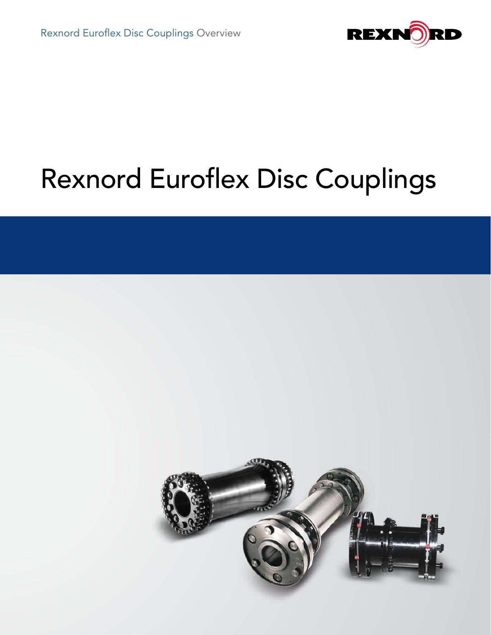

# Rexnord Euroflex Disc Couplings

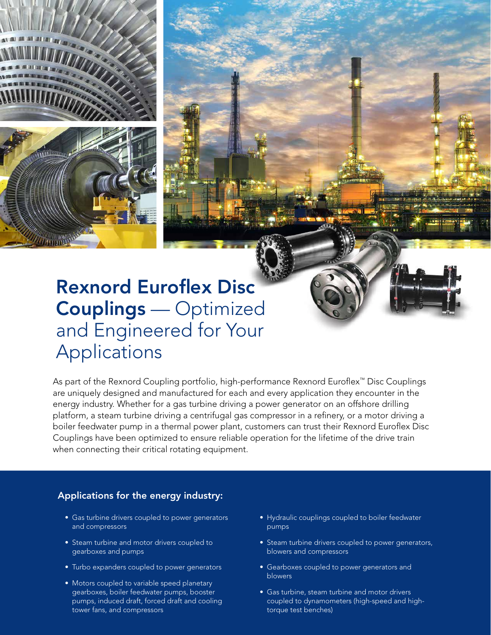

## Rexnord Euroflex Disc Couplings — Optimized and Engineered for Your Applications

As part of the Rexnord Coupling portfolio, high-performance Rexnord Euroflex™ Disc Couplings are uniquely designed and manufactured for each and every application they encounter in the energy industry. Whether for a gas turbine driving a power generator on an offshore drilling platform, a steam turbine driving a centrifugal gas compressor in a refinery, or a motor driving a boiler feedwater pump in a thermal power plant, customers can trust their Rexnord Euroflex Disc Couplings have been optimized to ensure reliable operation for the lifetime of the drive train when connecting their critical rotating equipment.

#### Applications for the energy industry:

- Gas turbine drivers coupled to power generators and compressors
- Steam turbine and motor drivers coupled to gearboxes and pumps
- Turbo expanders coupled to power generators
- Motors coupled to variable speed planetary gearboxes, boiler feedwater pumps, booster pumps, induced draft, forced draft and cooling tower fans, and compressors
- Hydraulic couplings coupled to boiler feedwater pumps
- Steam turbine drivers coupled to power generators, blowers and compressors
- Gearboxes coupled to power generators and blowers
- Gas turbine, steam turbine and motor drivers coupled to dynamometers (high-speed and hightorque test benches)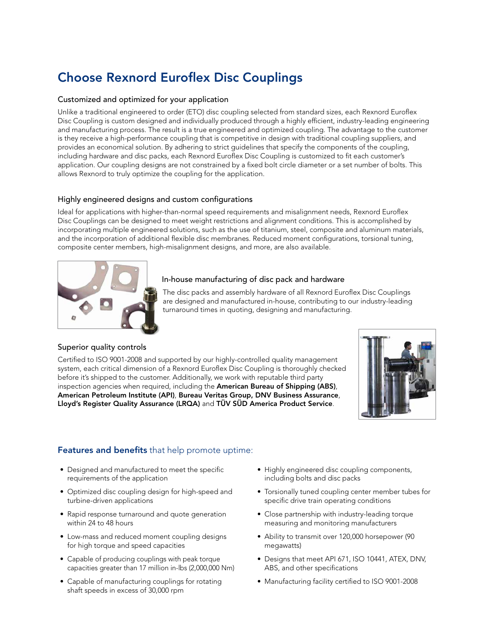## Choose Rexnord Euroflex Disc Couplings

#### Customized and optimized for your application

Unlike a traditional engineered to order (ETO) disc coupling selected from standard sizes, each Rexnord Euroflex Disc Coupling is custom designed and individually produced through a highly efficient, industry-leading engineering and manufacturing process. The result is a true engineered and optimized coupling. The advantage to the customer is they receive a high-performance coupling that is competitive in design with traditional coupling suppliers, and provides an economical solution. By adhering to strict guidelines that specify the components of the coupling, including hardware and disc packs, each Rexnord Euroflex Disc Coupling is customized to fit each customer's application. Our coupling designs are not constrained by a fixed bolt circle diameter or a set number of bolts. This allows Rexnord to truly optimize the coupling for the application.

#### Highly engineered designs and custom configurations

Ideal for applications with higher-than-normal speed requirements and misalignment needs, Rexnord Euroflex Disc Couplings can be designed to meet weight restrictions and alignment conditions. This is accomplished by incorporating multiple engineered solutions, such as the use of titanium, steel, composite and aluminum materials, and the incorporation of additional flexible disc membranes. Reduced moment configurations, torsional tuning, composite center members, high-misalignment designs, and more, are also available.



#### In-house manufacturing of disc pack and hardware

The disc packs and assembly hardware of all Rexnord Euroflex Disc Couplings are designed and manufactured in-house, contributing to our industry-leading turnaround times in quoting, designing and manufacturing.

#### Superior quality controls

Certified to ISO 9001-2008 and supported by our highly-controlled quality management system, each critical dimension of a Rexnord Euroflex Disc Coupling is thoroughly checked before it's shipped to the customer. Additionally, we work with reputable third party inspection agencies when required, including the American Bureau of Shipping (ABS), American Petroleum Institute (API), Bureau Veritas Group, DNV Business Assurance, Lloyd's Register Quality Assurance (LRQA) and TÜV SÜD America Product Service.



#### Features and benefits that help promote uptime:

- Designed and manufactured to meet the specific requirements of the application
- Optimized disc coupling design for high-speed and turbine-driven applications
- Rapid response turnaround and quote generation within 24 to 48 hours
- Low-mass and reduced moment coupling designs for high torque and speed capacities
- Capable of producing couplings with peak torque capacities greater than 17 million in-lbs (2,000,000 Nm)
- Capable of manufacturing couplings for rotating shaft speeds in excess of 30,000 rpm
- Highly engineered disc coupling components, including bolts and disc packs
- Torsionally tuned coupling center member tubes for specific drive train operating conditions
- Close partnership with industry-leading torque measuring and monitoring manufacturers
- Ability to transmit over 120,000 horsepower (90 megawatts)
- Designs that meet API 671, ISO 10441, ATEX, DNV, ABS, and other specifications
- Manufacturing facility certified to ISO 9001-2008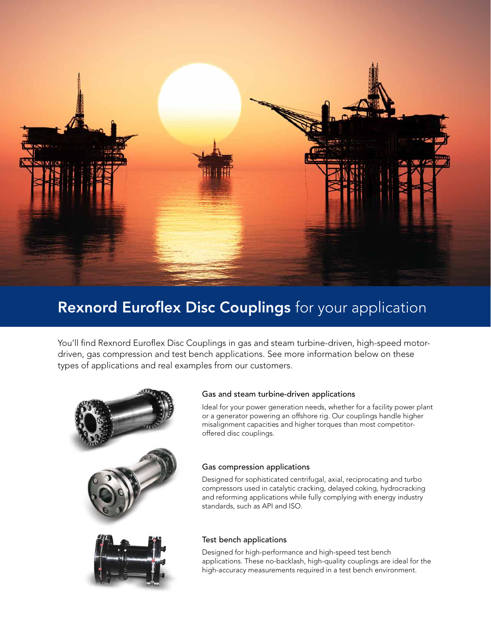

## Rexnord Euroflex Disc Couplings for your application

You'll find Rexnord Euroflex Disc Couplings in gas and steam turbine-driven, high-speed motordriven, gas compression and test bench applications. See more information below on these types of applications and real examples from our customers.



#### Gas and steam turbine-driven applications

Ideal for your power generation needs, whether for a facility power plant or a generator powering an offshore rig. Our couplings handle higher misalignment capacities and higher torques than most competitoroffered disc couplings.

#### Gas compression applications

Designed for sophisticated centrifugal, axial, reciprocating and turbo compressors used in catalytic cracking, delayed coking, hydrocracking and reforming applications while fully complying with energy industry standards, such as API and ISO.

#### Test bench applications

Designed for high-performance and high-speed test bench applications. These no-backlash, high-quality couplings are ideal for the high-accuracy measurements required in a test bench environment.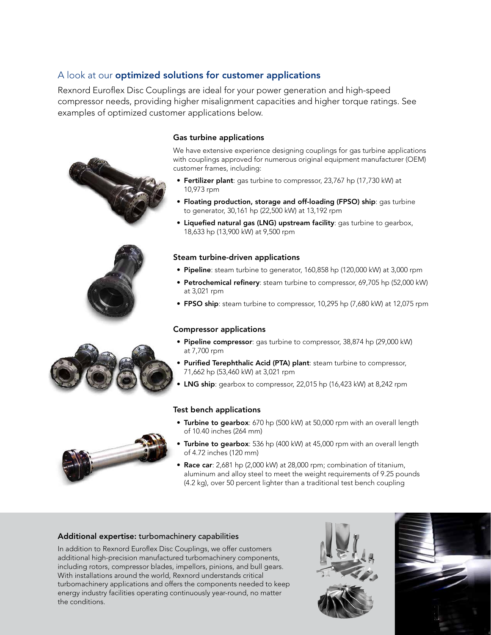#### A look at our **optimized solutions for customer applications**

Rexnord Euroflex Disc Couplings are ideal for your power generation and high-speed compressor needs, providing higher misalignment capacities and higher torque ratings. See examples of optimized customer applications below.





#### Gas turbine applications

We have extensive experience designing couplings for gas turbine applications with couplings approved for numerous original equipment manufacturer (OEM) customer frames, including:

- Fertilizer plant: gas turbine to compressor, 23,767 hp (17,730 kW) at 10,973 rpm
- Floating production, storage and off-loading (FPSO) ship: gas turbine to generator, 30,161 hp (22,500 kW) at 13,192 rpm
- Liquefied natural gas (LNG) upstream facility: gas turbine to gearbox, 18,633 hp (13,900 kW) at 9,500 rpm

#### Steam turbine-driven applications

- Pipeline: steam turbine to generator, 160,858 hp (120,000 kW) at 3,000 rpm
- Petrochemical refinery: steam turbine to compressor, 69,705 hp (52,000 kW) at 3,021 rpm
- FPSO ship: steam turbine to compressor, 10,295 hp (7,680 kW) at 12,075 rpm

#### Compressor applications

- Pipeline compressor: gas turbine to compressor, 38,874 hp (29,000 kW) at 7,700 rpm
- Purified Terephthalic Acid (PTA) plant: steam turbine to compressor, 71,662 hp (53,460 kW) at 3,021 rpm
- LNG ship: gearbox to compressor, 22,015 hp (16,423 kW) at 8,242 rpm

#### Test bench applications

- Turbine to gearbox: 670 hp (500 kW) at 50,000 rpm with an overall length of 10.40 inches (264 mm)
- Turbine to gearbox: 536 hp (400 kW) at 45,000 rpm with an overall length of 4.72 inches (120 mm)
- Race car: 2,681 hp (2,000 kW) at 28,000 rpm; combination of titanium, aluminum and alloy steel to meet the weight requirements of 9.25 pounds (4.2 kg), over 50 percent lighter than a traditional test bench coupling

#### Additional expertise: turbomachinery capabilities

In addition to Rexnord Euroflex Disc Couplings, we offer customers additional high-precision manufactured turbomachinery components, including rotors, compressor blades, impellors, pinions, and bull gears. With installations around the world, Rexnord understands critical turbomachinery applications and offers the components needed to keep energy industry facilities operating continuously year-round, no matter the conditions.





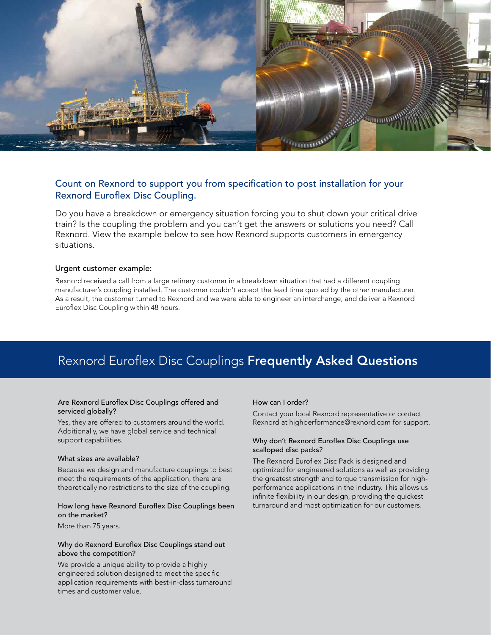

#### Count on Rexnord to support you from specification to post installation for your Rexnord Euroflex Disc Coupling.

Do you have a breakdown or emergency situation forcing you to shut down your critical drive train? Is the coupling the problem and you can't get the answers or solutions you need? Call Rexnord. View the example below to see how Rexnord supports customers in emergency situations.

#### Urgent customer example:

Rexnord received a call from a large refinery customer in a breakdown situation that had a different coupling manufacturer's coupling installed. The customer couldn't accept the lead time quoted by the other manufacturer. As a result, the customer turned to Rexnord and we were able to engineer an interchange, and deliver a Rexnord Euroflex Disc Coupling within 48 hours.

### Rexnord Euroflex Disc Couplings Frequently Asked Questions

#### Are Rexnord Euroflex Disc Couplings offered and serviced globally?

Yes, they are offered to customers around the world. Additionally, we have global service and technical support capabilities.

#### What sizes are available?

Because we design and manufacture couplings to best meet the requirements of the application, there are theoretically no restrictions to the size of the coupling.

#### How long have Rexnord Euroflex Disc Couplings been on the market?

More than 75 years.

#### Why do Rexnord Euroflex Disc Couplings stand out above the competition?

We provide a unique ability to provide a highly engineered solution designed to meet the specific application requirements with best-in-class turnaround times and customer value.

#### How can I order?

Contact your local Rexnord representative or contact Rexnord at highperformance@rexnord.com for support.

#### Why don't Rexnord Euroflex Disc Couplings use scalloped disc packs?

The Rexnord Euroflex Disc Pack is designed and optimized for engineered solutions as well as providing the greatest strength and torque transmission for highperformance applications in the industry. This allows us infinite flexibility in our design, providing the quickest turnaround and most optimization for our customers.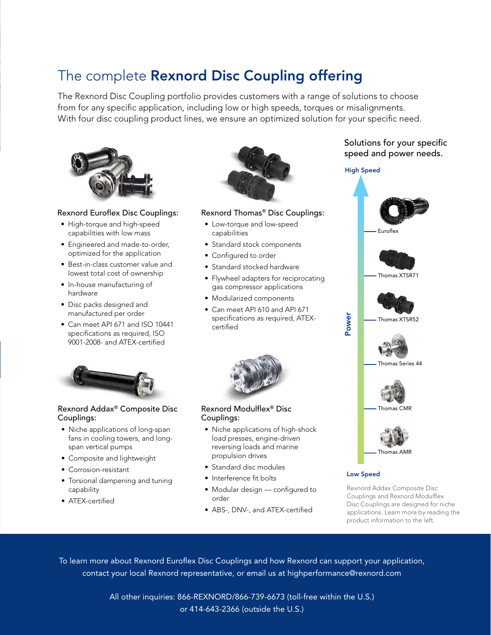## The complete **Rexnord Disc Coupling offering**

The Rexnord Disc Coupling portfolio provides customers with a range of solutions to choose from for any specific application, including low or high speeds, torques or misalignments. With four disc coupling product lines, we ensure an optimized solution for your specific need.



#### Rexnord Euroflex Disc Couplings:

- High-torque and high-speed capabilities with low mass
- Engineered and made-to-order, optimized for the application
- Best-in-class customer value and lowest total cost of ownership
- In-house manufacturing of hardware
- Disc packs designed and manufactured per order
- Can meet API 671 and ISO 10441 specifications as required, ISO 9001-2008- and ATEX-certified



#### Rexnord Addax® Composite Disc Couplings:

- Niche applications of long-span fans in cooling towers, and longspan vertical pumps
- Composite and lightweight
- Corrosion-resistant
- Torsional dampening and tuning capability
- ATEX-certified



#### Rexnord Thomas® Disc Couplings:

- Low-torque and low-speed capabilities
- Standard stock components
- Configured to order
- Standard stocked hardware
- Flywheel adapters for reciprocating gas compressor applications
- Modularized components
- Can meet API 610 and API 671 specifications as required, ATEXcertified



#### Rexnord Modulflex® Disc Couplings:

- Niche applications of high-shock load presses, engine-driven reversing loads and marine propulsion drives
- Standard disc modules
- Interference fit bolts
- Modular design configured to order
- ABS-, DNV-, and ATEX-certified

#### Solutions for your specific speed and power needs.

#### High Speed



Low Speed

Rexnord Addax Composite Disc Couplings and Rexnord Modulflex Disc Couplings are designed for niche applications. Learn more by reading the

To learn more about Rexnord Euroflex Disc Couplings and how Rexnord can support your application, contact your local Rexnord representative, or email us at highperformance@rexnord.com

> All other inquiries: 866-REXNORD/866-739-6673 (toll-free within the U.S.) or 414-643-2366 (outside the U.S.)